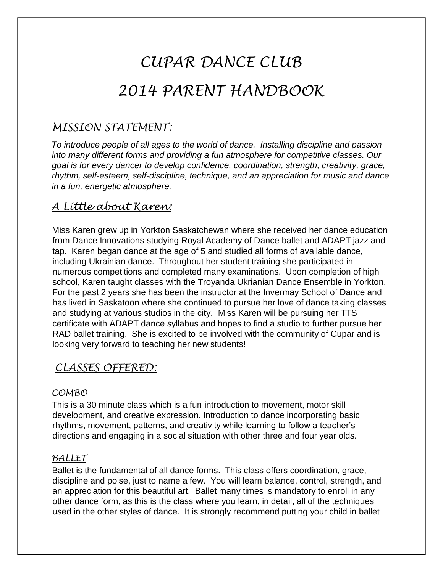# *CUPAR DANCE CLUB 2014 PARENT HANDBOOK*

# *MISSION STATEMENT:*

*To introduce people of all ages to the world of dance. Installing discipline and passion into many different forms and providing a fun atmosphere for competitive classes. Our goal is for every dancer to develop confidence, coordination, strength, creativity, grace, rhythm, self-esteem, self-discipline, technique, and an appreciation for music and dance in a fun, energetic atmosphere.* 

# *A Little about Karen:*

Miss Karen grew up in Yorkton Saskatchewan where she received her dance education from Dance Innovations studying Royal Academy of Dance ballet and ADAPT jazz and tap. Karen began dance at the age of 5 and studied all forms of available dance, including Ukrainian dance. Throughout her student training she participated in numerous competitions and completed many examinations. Upon completion of high school, Karen taught classes with the Troyanda Ukrianian Dance Ensemble in Yorkton. For the past 2 years she has been the instructor at the Invermay School of Dance and has lived in Saskatoon where she continued to pursue her love of dance taking classes and studying at various studios in the city. Miss Karen will be pursuing her TTS certificate with ADAPT dance syllabus and hopes to find a studio to further pursue her RAD ballet training. She is excited to be involved with the community of Cupar and is looking very forward to teaching her new students!

### *CLASSES OFFERED:*

### *COMBO*

This is a 30 minute class which is a fun introduction to movement, motor skill development, and creative expression. Introduction to dance incorporating basic rhythms, movement, patterns, and creativity while learning to follow a teacher's directions and engaging in a social situation with other three and four year olds.

### *BALLET*

Ballet is the fundamental of all dance forms. This class offers coordination, grace, discipline and poise, just to name a few. You will learn balance, control, strength, and an appreciation for this beautiful art. Ballet many times is mandatory to enroll in any other dance form, as this is the class where you learn, in detail, all of the techniques used in the other styles of dance. It is strongly recommend putting your child in ballet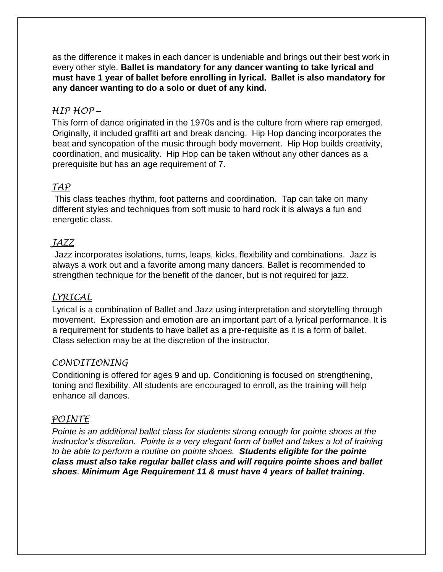as the difference it makes in each dancer is undeniable and brings out their best work in every other style. **Ballet is mandatory for any dancer wanting to take lyrical and must have 1 year of ballet before enrolling in lyrical. Ballet is also mandatory for any dancer wanting to do a solo or duet of any kind.** 

### *HIP HOP* –

This form of dance originated in the 1970s and is the culture from where rap emerged. Originally, it included graffiti art and break dancing. Hip Hop dancing incorporates the beat and syncopation of the music through body movement. Hip Hop builds creativity, coordination, and musicality. Hip Hop can be taken without any other dances as a prerequisite but has an age requirement of 7.

### *TAP*

This class teaches rhythm, foot patterns and coordination. Tap can take on many different styles and techniques from soft music to hard rock it is always a fun and energetic class.

### *JAZZ*

Jazz incorporates isolations, turns, leaps, kicks, flexibility and combinations. Jazz is always a work out and a favorite among many dancers. Ballet is recommended to strengthen technique for the benefit of the dancer, but is not required for jazz.

### *LYRICAL*

Lyrical is a combination of Ballet and Jazz using interpretation and storytelling through movement. Expression and emotion are an important part of a lyrical performance. It is a requirement for students to have ballet as a pre-requisite as it is a form of ballet. Class selection may be at the discretion of the instructor.

#### *CONDITIONING*

Conditioning is offered for ages 9 and up. Conditioning is focused on strengthening, toning and flexibility. All students are encouraged to enroll, as the training will help enhance all dances.

#### *POINTE*

*Pointe is an additional ballet class for students strong enough for pointe shoes at the instructor's discretion. Pointe is a very elegant form of ballet and takes a lot of training to be able to perform a routine on pointe shoes. Students eligible for the pointe class must also take regular ballet class and will require pointe shoes and ballet shoes. Minimum Age Requirement 11 & must have 4 years of ballet training.*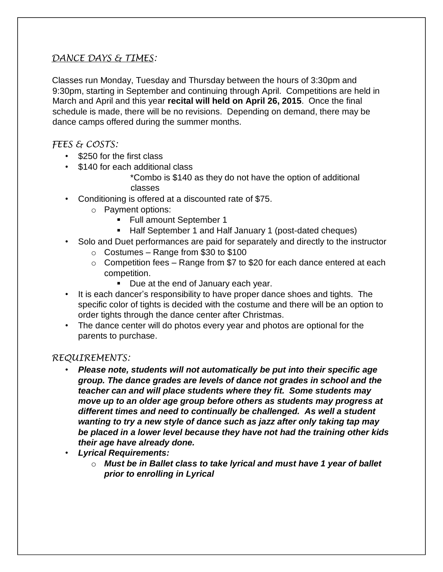### *DANCE DAYS & TIMES:*

Classes run Monday, Tuesday and Thursday between the hours of 3:30pm and 9:30pm, starting in September and continuing through April. Competitions are held in March and April and this year **recital will held on April 26, 2015**. Once the final schedule is made, there will be no revisions. Depending on demand, there may be dance camps offered during the summer months.

#### *FEES & COSTS:*

- \$250 for the first class
- \$140 for each additional class

\*Combo is \$140 as they do not have the option of additional classes

- Conditioning is offered at a discounted rate of \$75.
	- o Payment options:
		- **Full amount September 1**
		- Half September 1 and Half January 1 (post-dated cheques)
- Solo and Duet performances are paid for separately and directly to the instructor
	- $\circ$  Costumes Range from \$30 to \$100
	- $\circ$  Competition fees Range from \$7 to \$20 for each dance entered at each competition.
		- Due at the end of January each year.
- It is each dancer's responsibility to have proper dance shoes and tights. The specific color of tights is decided with the costume and there will be an option to order tights through the dance center after Christmas.
- The dance center will do photos every year and photos are optional for the parents to purchase.

#### *REQUIREMENTS:*

- *Please note, students will not automatically be put into their specific age group. The dance grades are levels of dance not grades in school and the teacher can and will place students where they fit. Some students may move up to an older age group before others as students may progress at different times and need to continually be challenged. As well a student wanting to try a new style of dance such as jazz after only taking tap may be placed in a lower level because they have not had the training other kids their age have already done.*
- *Lyrical Requirements:* 
	- o *Must be in Ballet class to take lyrical and must have 1 year of ballet prior to enrolling in Lyrical*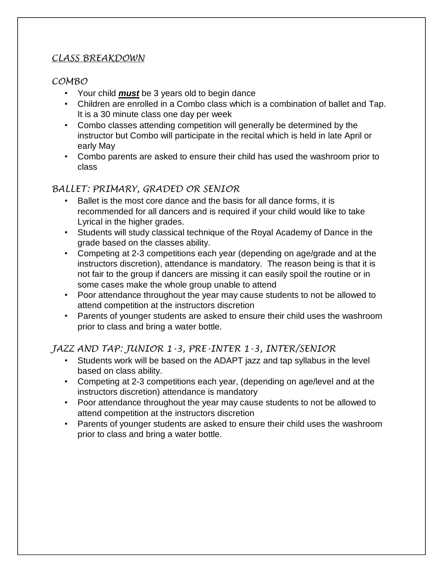### *CLASS BREAKDOWN*

### *COMBO*

- Your child *must* be 3 years old to begin dance
- Children are enrolled in a Combo class which is a combination of ballet and Tap. It is a 30 minute class one day per week
- Combo classes attending competition will generally be determined by the instructor but Combo will participate in the recital which is held in late April or early May
- Combo parents are asked to ensure their child has used the washroom prior to class

### *BALLET: PRIMARY, GRADED OR SENIOR*

- Ballet is the most core dance and the basis for all dance forms, it is recommended for all dancers and is required if your child would like to take Lyrical in the higher grades.
- Students will study classical technique of the Royal Academy of Dance in the grade based on the classes ability.
- Competing at 2-3 competitions each year (depending on age/grade and at the instructors discretion), attendance is mandatory. The reason being is that it is not fair to the group if dancers are missing it can easily spoil the routine or in some cases make the whole group unable to attend
- Poor attendance throughout the year may cause students to not be allowed to attend competition at the instructors discretion
- Parents of younger students are asked to ensure their child uses the washroom prior to class and bring a water bottle.

### *JAZZ AND TAP: JUNIOR 1-3, PRE-INTER 1-3, INTER/SENIOR*

- Students work will be based on the ADAPT jazz and tap syllabus in the level based on class ability.
- Competing at 2-3 competitions each year, (depending on age/level and at the instructors discretion) attendance is mandatory
- Poor attendance throughout the year may cause students to not be allowed to attend competition at the instructors discretion
- Parents of younger students are asked to ensure their child uses the washroom prior to class and bring a water bottle.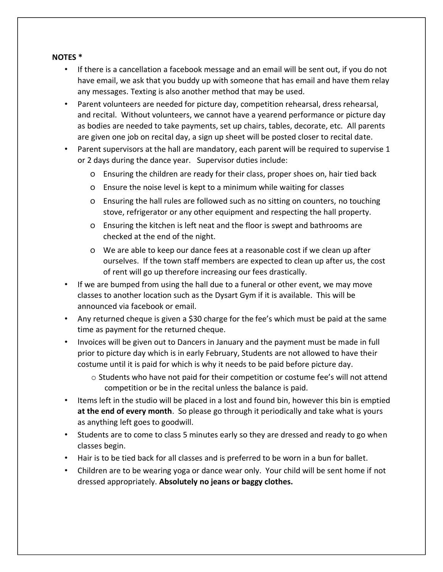#### **NOTES \***

- If there is a cancellation a facebook message and an email will be sent out, if you do not have email, we ask that you buddy up with someone that has email and have them relay any messages. Texting is also another method that may be used.
- Parent volunteers are needed for picture day, competition rehearsal, dress rehearsal, and recital. Without volunteers, we cannot have a yearend performance or picture day as bodies are needed to take payments, set up chairs, tables, decorate, etc. All parents are given one job on recital day, a sign up sheet will be posted closer to recital date.
- Parent supervisors at the hall are mandatory, each parent will be required to supervise 1 or 2 days during the dance year. Supervisor duties include:
	- o Ensuring the children are ready for their class, proper shoes on, hair tied back
	- o Ensure the noise level is kept to a minimum while waiting for classes
	- o Ensuring the hall rules are followed such as no sitting on counters, no touching stove, refrigerator or any other equipment and respecting the hall property.
	- o Ensuring the kitchen is left neat and the floor is swept and bathrooms are checked at the end of the night.
	- o We are able to keep our dance fees at a reasonable cost if we clean up after ourselves. If the town staff members are expected to clean up after us, the cost of rent will go up therefore increasing our fees drastically.
- If we are bumped from using the hall due to a funeral or other event, we may move classes to another location such as the Dysart Gym if it is available. This will be announced via facebook or email.
- Any returned cheque is given a \$30 charge for the fee's which must be paid at the same time as payment for the returned cheque.
- Invoices will be given out to Dancers in January and the payment must be made in full prior to picture day which is in early February, Students are not allowed to have their costume until it is paid for which is why it needs to be paid before picture day.
	- o Students who have not paid for their competition or costume fee's will not attend competition or be in the recital unless the balance is paid.
- Items left in the studio will be placed in a lost and found bin, however this bin is emptied **at the end of every month**. So please go through it periodically and take what is yours as anything left goes to goodwill.
- Students are to come to class 5 minutes early so they are dressed and ready to go when classes begin.
- Hair is to be tied back for all classes and is preferred to be worn in a bun for ballet.
- Children are to be wearing yoga or dance wear only. Your child will be sent home if not dressed appropriately. **Absolutely no jeans or baggy clothes.**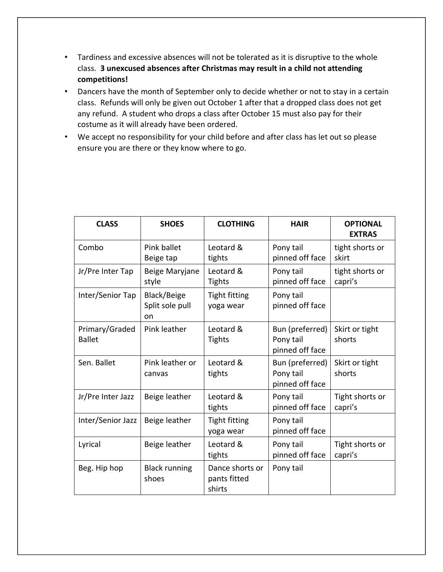- Tardiness and excessive absences will not be tolerated as it is disruptive to the whole class. **3 unexcused absences after Christmas may result in a child not attending competitions!**
- Dancers have the month of September only to decide whether or not to stay in a certain class. Refunds will only be given out October 1 after that a dropped class does not get any refund. A student who drops a class after October 15 must also pay for their costume as it will already have been ordered.
- We accept no responsibility for your child before and after class has let out so please ensure you are there or they know where to go.

| <b>CLASS</b>                    | <b>SHOES</b>                         | <b>CLOTHING</b>                           | <b>HAIR</b>                                     | <b>OPTIONAL</b><br><b>EXTRAS</b> |
|---------------------------------|--------------------------------------|-------------------------------------------|-------------------------------------------------|----------------------------------|
| Combo                           | Pink ballet<br>Beige tap             | Leotard &<br>tights                       | Pony tail<br>pinned off face                    | tight shorts or<br>skirt         |
| Jr/Pre Inter Tap                | Beige Maryjane<br>style              | Leotard &<br><b>Tights</b>                | Pony tail<br>pinned off face                    | tight shorts or<br>capri's       |
| Inter/Senior Tap                | Black/Beige<br>Split sole pull<br>on | <b>Tight fitting</b><br>yoga wear         | Pony tail<br>pinned off face                    |                                  |
| Primary/Graded<br><b>Ballet</b> | Pink leather                         | Leotard &<br><b>Tights</b>                | Bun (preferred)<br>Pony tail<br>pinned off face | Skirt or tight<br>shorts         |
| Sen. Ballet                     | Pink leather or<br>canvas            | Leotard &<br>tights                       | Bun (preferred)<br>Pony tail<br>pinned off face | Skirt or tight<br>shorts         |
| Jr/Pre Inter Jazz               | Beige leather                        | Leotard &<br>tights                       | Pony tail<br>pinned off face                    | Tight shorts or<br>capri's       |
| Inter/Senior Jazz               | Beige leather                        | <b>Tight fitting</b><br>yoga wear         | Pony tail<br>pinned off face                    |                                  |
| Lyrical                         | Beige leather                        | Leotard &<br>tights                       | Pony tail<br>pinned off face                    | Tight shorts or<br>capri's       |
| Beg. Hip hop                    | <b>Black running</b><br>shoes        | Dance shorts or<br>pants fitted<br>shirts | Pony tail                                       |                                  |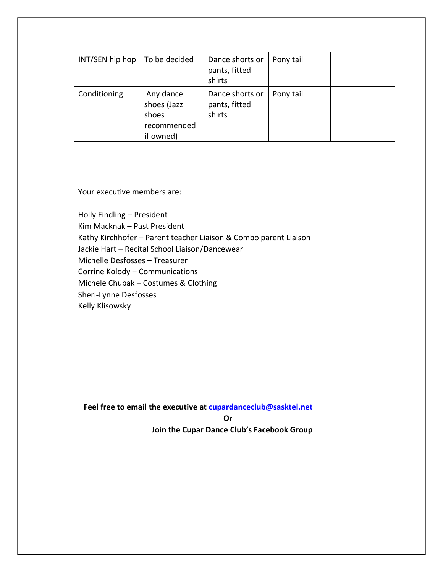| INT/SEN hip hop | To be decided                                                 | Dance shorts or<br>pants, fitted<br>shirts | Pony tail |  |
|-----------------|---------------------------------------------------------------|--------------------------------------------|-----------|--|
| Conditioning    | Any dance<br>shoes (Jazz<br>shoes<br>recommended<br>if owned) | Dance shorts or<br>pants, fitted<br>shirts | Pony tail |  |

Your executive members are:

Holly Findling – President Kim Macknak – Past President Kathy Kirchhofer – Parent teacher Liaison & Combo parent Liaison Jackie Hart – Recital School Liaison/Dancewear Michelle Desfosses – Treasurer Corrine Kolody – Communications Michele Chubak – Costumes & Clothing Sheri-Lynne Desfosses Kelly Klisowsky

**Feel free to email the executive at cupardanceclub@sasktel.net Or Join the Cupar Dance Club's Facebook Group**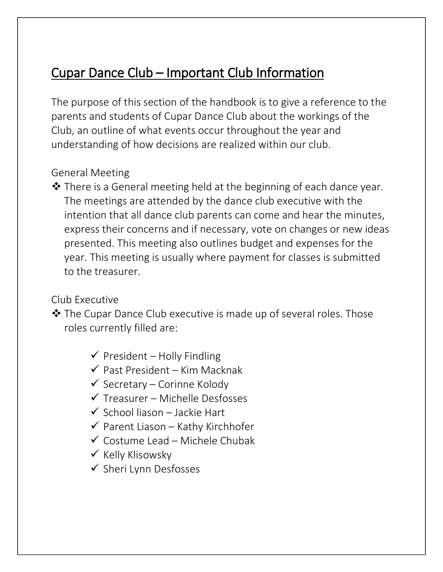# Cupar Dance Club – Important Club Information

The purpose of this section of the handbook is to give a reference to the parents and students of Cupar Dance Club about the workings of the Club, an outline of what events occur throughout the year and understanding of how decisions are realized within our club.

# General Meeting

 There is a General meeting held at the beginning of each dance year. The meetings are attended by the dance club executive with the intention that all dance club parents can come and hear the minutes, express their concerns and if necessary, vote on changes or new ideas presented. This meeting also outlines budget and expenses for the year. This meeting is usually where payment for classes is submitted to the treasurer.

# Club Executive

 The Cupar Dance Club executive is made up of several roles. Those roles currently filled are:

- $\checkmark$  President Holly Findling
- $\checkmark$  Past President Kim Macknak
- $\checkmark$  Secretary Corinne Kolody
- $\checkmark$  Treasurer Michelle Desfosses
- $\checkmark$  School liason Jackie Hart
- $\checkmark$  Parent Liason Kathy Kirchhofer
- $\checkmark$  Costume Lead Michele Chubak
- $\checkmark$  Kelly Klisowsky
- $\checkmark$  Sheri Lynn Desfosses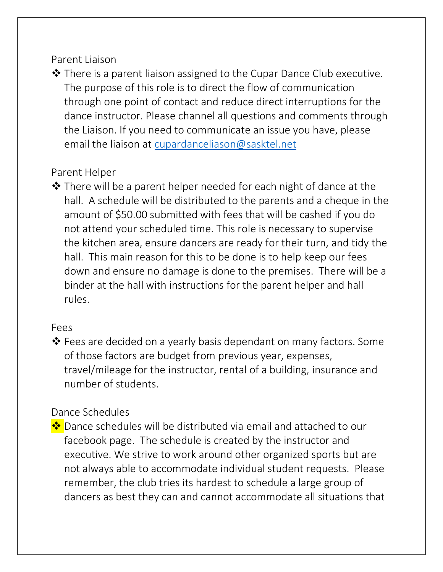### Parent Liaison

 There is a parent liaison assigned to the Cupar Dance Club executive. The purpose of this role is to direct the flow of communication through one point of contact and reduce direct interruptions for the dance instructor. Please channel all questions and comments through the Liaison. If you need to communicate an issue you have, please email the liaison at [cupardanceliason@sasktel.net](mailto:cupardanceliason@sasktel.net)

# Parent Helper

 $\clubsuit$  There will be a parent helper needed for each night of dance at the hall. A schedule will be distributed to the parents and a cheque in the amount of \$50.00 submitted with fees that will be cashed if you do not attend your scheduled time. This role is necessary to supervise the kitchen area, ensure dancers are ready for their turn, and tidy the hall. This main reason for this to be done is to help keep our fees down and ensure no damage is done to the premises. There will be a binder at the hall with instructions for the parent helper and hall rules.

### Fees

 Fees are decided on a yearly basis dependant on many factors. Some of those factors are budget from previous year, expenses, travel/mileage for the instructor, rental of a building, insurance and number of students.

# Dance Schedules

<u>❖</u> Dance schedules will be distributed via email and attached to our facebook page. The schedule is created by the instructor and executive. We strive to work around other organized sports but are not always able to accommodate individual student requests. Please remember, the club tries its hardest to schedule a large group of dancers as best they can and cannot accommodate all situations that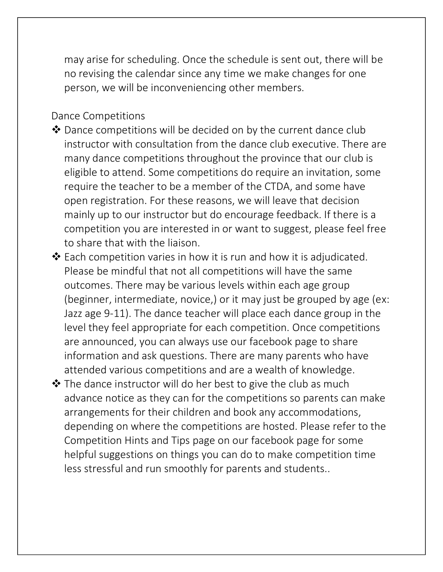may arise for scheduling. Once the schedule is sent out, there will be no revising the calendar since any time we make changes for one person, we will be inconveniencing other members.

### Dance Competitions

- ◆ Dance competitions will be decided on by the current dance club instructor with consultation from the dance club executive. There are many dance competitions throughout the province that our club is eligible to attend. Some competitions do require an invitation, some require the teacher to be a member of the CTDA, and some have open registration. For these reasons, we will leave that decision mainly up to our instructor but do encourage feedback. If there is a competition you are interested in or want to suggest, please feel free to share that with the liaison.
- Each competition varies in how it is run and how it is adjudicated. Please be mindful that not all competitions will have the same outcomes. There may be various levels within each age group (beginner, intermediate, novice,) or it may just be grouped by age (ex: Jazz age 9-11). The dance teacher will place each dance group in the level they feel appropriate for each competition. Once competitions are announced, you can always use our facebook page to share information and ask questions. There are many parents who have attended various competitions and are a wealth of knowledge.
- $\clubsuit$  The dance instructor will do her best to give the club as much advance notice as they can for the competitions so parents can make arrangements for their children and book any accommodations, depending on where the competitions are hosted. Please refer to the Competition Hints and Tips page on our facebook page for some helpful suggestions on things you can do to make competition time less stressful and run smoothly for parents and students..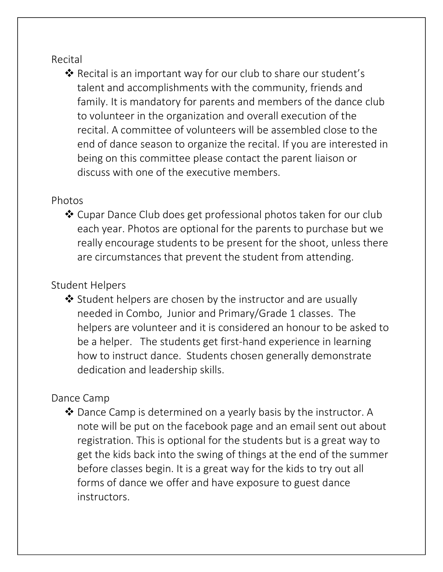# Recital

 Recital is an important way for our club to share our student's talent and accomplishments with the community, friends and family. It is mandatory for parents and members of the dance club to volunteer in the organization and overall execution of the recital. A committee of volunteers will be assembled close to the end of dance season to organize the recital. If you are interested in being on this committee please contact the parent liaison or discuss with one of the executive members.

# Photos

 Cupar Dance Club does get professional photos taken for our club each year. Photos are optional for the parents to purchase but we really encourage students to be present for the shoot, unless there are circumstances that prevent the student from attending.

# Student Helpers

 $\triangle$  Student helpers are chosen by the instructor and are usually needed in Combo, Junior and Primary/Grade 1 classes. The helpers are volunteer and it is considered an honour to be asked to be a helper. The students get first-hand experience in learning how to instruct dance. Students chosen generally demonstrate dedication and leadership skills.

# Dance Camp

 $\clubsuit$  Dance Camp is determined on a yearly basis by the instructor. A note will be put on the facebook page and an email sent out about registration. This is optional for the students but is a great way to get the kids back into the swing of things at the end of the summer before classes begin. It is a great way for the kids to try out all forms of dance we offer and have exposure to guest dance instructors.